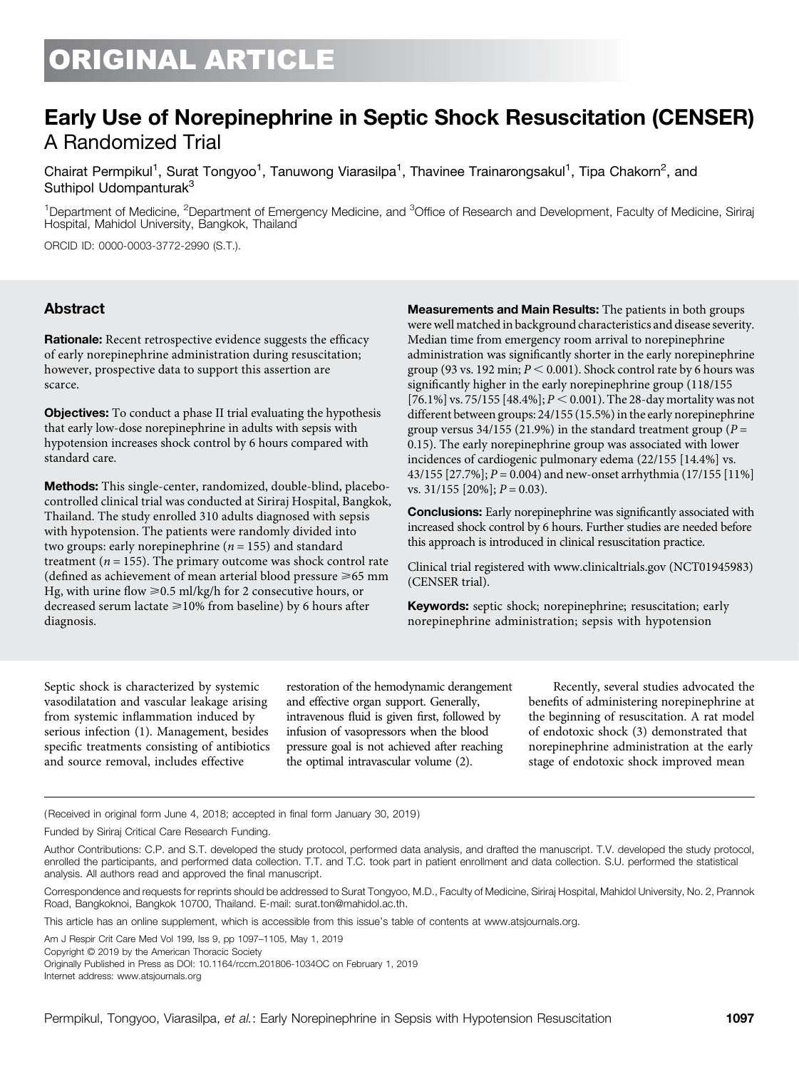# ORIGINAL ARTICLE

## Early Use of Norepinephrine in Septic Shock Resuscitation (CENSER) A Randomized Trial

Chairat Permpikul<sup>1</sup>, Surat Tongyoo<sup>1</sup>, Tanuwong Viarasilpa<sup>1</sup>, Thavinee Trainarongsakul<sup>1</sup>, Tipa Chakorn<sup>2</sup>, and Suthipol Udompanturak<sup>3</sup>

<sup>1</sup>Department of Medicine, <sup>2</sup>Department of Emergency Medicine, and <sup>3</sup>Office of Research and Development, Faculty of Medicine, Siriraj Hospital, Mahidol University, Bangkok, Thailand

ORCID ID: [0000-0003-3772-2990](http://orcid.org/0000-0003-3772-2990) (S.T.).

#### Abstract

Rationale: Recent retrospective evidence suggests the efficacy of early norepinephrine administration during resuscitation; however, prospective data to support this assertion are scarce.

**Objectives:** To conduct a phase II trial evaluating the hypothesis that early low-dose norepinephrine in adults with sepsis with hypotension increases shock control by 6 hours compared with standard care.

Methods: This single-center, randomized, double-blind, placebocontrolled clinical trial was conducted at Siriraj Hospital, Bangkok, Thailand. The study enrolled 310 adults diagnosed with sepsis with hypotension. The patients were randomly divided into two groups: early norepinephrine ( $n = 155$ ) and standard treatment ( $n = 155$ ). The primary outcome was shock control rate (defined as achievement of mean arterial blood pressure  $\geq 65$  mm Hg, with urine flow  $\geq 0.5$  ml/kg/h for 2 consecutive hours, or decreased serum lactate  $\geq$  10% from baseline) by 6 hours after diagnosis.

Measurements and Main Results: The patients in both groups were well matched in background characteristics and disease severity. Median time from emergency room arrival to norepinephrine administration was significantly shorter in the early norepinephrine group (93 vs. 192 min;  $P < 0.001$ ). Shock control rate by 6 hours was significantly higher in the early norepinephrine group (118/155 [76.1%] vs. 75/155 [48.4%];  $P < 0.001$ ). The 28-day mortality was not different between groups: 24/155 (15.5%) in the early norepinephrine group versus 34/155 (21.9%) in the standard treatment group ( $P =$ 0.15). The early norepinephrine group was associated with lower incidences of cardiogenic pulmonary edema (22/155 [14.4%] vs. 43/155  $[27.7\%]$ ;  $P = 0.004$ ) and new-onset arrhythmia (17/155  $[11\%]$ ) vs.  $31/155$  [20%];  $P = 0.03$ ).

**Conclusions:** Early norepinephrine was significantly associated with increased shock control by 6 hours. Further studies are needed before this approach is introduced in clinical resuscitation practice.

Clinical trial registered with [www.clinicaltrials.gov](http://www.clinicaltrials.gov) (NCT01945983) (CENSER trial).

Keywords: septic shock; norepinephrine; resuscitation; early norepinephrine administration; sepsis with hypotension

Septic shock is characterized by systemic vasodilatation and vascular leakage arising from systemic inflammation induced by serious infection (1). Management, besides specific treatments consisting of antibiotics and source removal, includes effective

restoration of the hemodynamic derangement and effective organ support. Generally, intravenous fluid is given first, followed by infusion of vasopressors when the blood pressure goal is not achieved after reaching the optimal intravascular volume (2).

Recently, several studies advocated the benefits of administering norepinephrine at the beginning of resuscitation. A rat model of endotoxic shock (3) demonstrated that norepinephrine administration at the early stage of endotoxic shock improved mean

(Received in original form June 4, 2018; accepted in final form January 30, 2019 )

Funded by Siriraj Critical Care Research Funding.

Author Contributions: C.P. and S.T. developed the study protocol, performed data analysis, and drafted the manuscript. T.V. developed the study protocol, enrolled the participants, and performed data collection. T.T. and T.C. took part in patient enrollment and data collection. S.U. performed the statistical analysis. All authors read and approved the final manuscript.

Correspondence and requests for reprints should be addressed to Surat Tongyoo, M.D., Faculty of Medicine, Siriraj Hospital, Mahidol University, No. 2, Prannok Road, Bangkoknoi, Bangkok 10700, Thailand. E-mail: [surat.ton@mahidol.ac.th.](mailto:surat.ton@mahidol.ac.th)

This article has an online supplement, which is accessible from this issue's table of contents at [www.atsjournals.org.](http://www.atsjournals.org)

Am J Respir Crit Care Med Vol 199, Iss 9, pp 1097–1105, May 1, 2019

Copyright © 2019 by the American Thoracic Society

Originally Published in Press as DOI: [10.1164/rccm.201806-1034OC](http://dx.doi.org/10.1164/rccm.201806-1034OC) on February 1, 2019 Internet address: [www.atsjournals.org](http://www.atsjournals.org)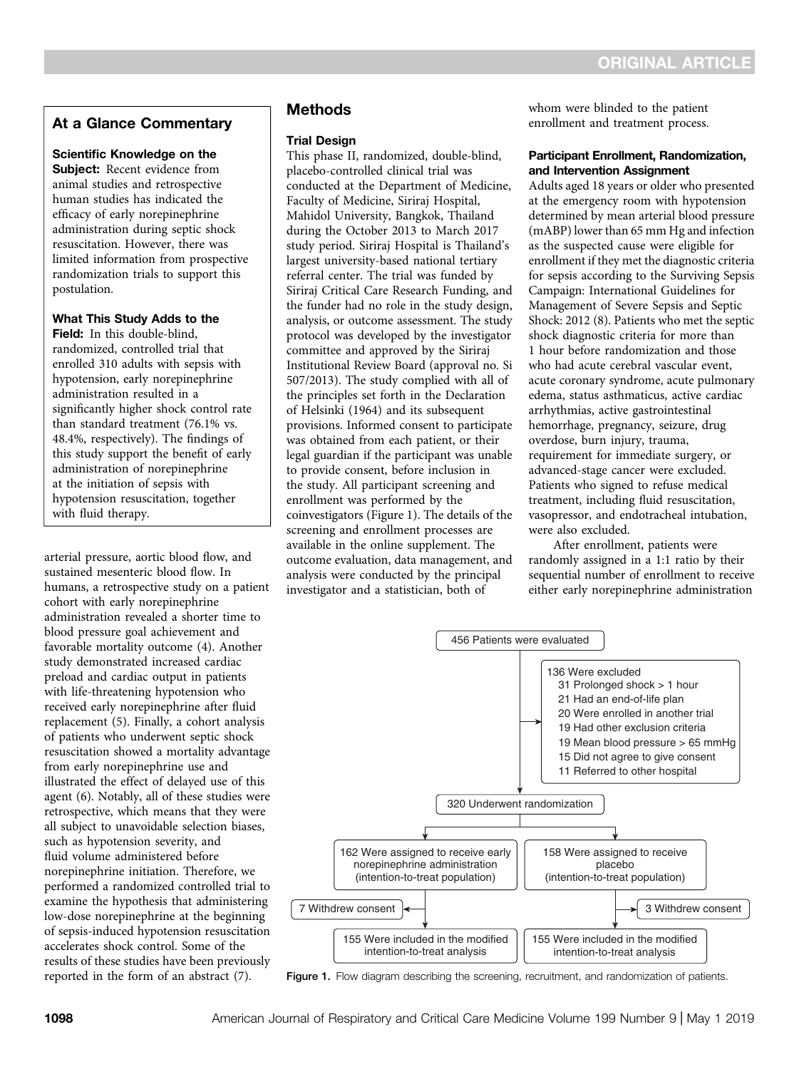## At a Glance Commentary

#### Scientific Knowledge on the

Subject: Recent evidence from animal studies and retrospective human studies has indicated the efficacy of early norepinephrine administration during septic shock resuscitation. However, there was limited information from prospective randomization trials to support this postulation.

#### What This Study Adds to the

Field: In this double-blind, randomized, controlled trial that enrolled 310 adults with sepsis with hypotension, early norepinephrine administration resulted in a significantly higher shock control rate than standard treatment (76.1% vs. 48.4%, respectively). The findings of this study support the benefit of early administration of norepinephrine at the initiation of sepsis with hypotension resuscitation, together with fluid therapy.

arterial pressure, aortic blood flow, and sustained mesenteric blood flow. In humans, a retrospective study on a patient cohort with early norepinephrine administration revealed a shorter time to blood pressure goal achievement and favorable mortality outcome (4). Another study demonstrated increased cardiac preload and cardiac output in patients with life-threatening hypotension who received early norepinephrine after fluid replacement (5). Finally, a cohort analysis of patients who underwent septic shock resuscitation showed a mortality advantage from early norepinephrine use and illustrated the effect of delayed use of this agent (6). Notably, all of these studies were retrospective, which means that they were all subject to unavoidable selection biases, such as hypotension severity, and fluid volume administered before norepinephrine initiation. Therefore, we performed a randomized controlled trial to examine the hypothesis that administering low-dose norepinephrine at the beginning of sepsis-induced hypotension resuscitation accelerates shock control. Some of the results of these studies have been previously reported in the form of an abstract (7).

## Methods

#### Trial Design

This phase II, randomized, double-blind, placebo-controlled clinical trial was conducted at the Department of Medicine, Faculty of Medicine, Siriraj Hospital, Mahidol University, Bangkok, Thailand during the October 2013 to March 2017 study period. Siriraj Hospital is Thailand's largest university-based national tertiary referral center. The trial was funded by Siriraj Critical Care Research Funding, and the funder had no role in the study design, analysis, or outcome assessment. The study protocol was developed by the investigator committee and approved by the Siriraj Institutional Review Board (approval no. Si 507/2013). The study complied with all of the principles set forth in the Declaration of Helsinki (1964) and its subsequent provisions. Informed consent to participate was obtained from each patient, or their legal guardian if the participant was unable to provide consent, before inclusion in the study. All participant screening and enrollment was performed by the coinvestigators (Figure 1). The details of the screening and enrollment processes are available in the online supplement. The outcome evaluation, data management, and analysis were conducted by the principal investigator and a statistician, both of

whom were blinded to the patient enrollment and treatment process.

#### Participant Enrollment, Randomization, and Intervention Assignment

Adults aged 18 years or older who presented at the emergency room with hypotension determined by mean arterial blood pressure (mABP) lower than 65 mm Hg and infection as the suspected cause were eligible for enrollment if they met the diagnostic criteria for sepsis according to the Surviving Sepsis Campaign: International Guidelines for Management of Severe Sepsis and Septic Shock: 2012 (8). Patients who met the septic shock diagnostic criteria for more than 1 hour before randomization and those who had acute cerebral vascular event, acute coronary syndrome, acute pulmonary edema, status asthmaticus, active cardiac arrhythmias, active gastrointestinal hemorrhage, pregnancy, seizure, drug overdose, burn injury, trauma, requirement for immediate surgery, or advanced-stage cancer were excluded. Patients who signed to refuse medical treatment, including fluid resuscitation, vasopressor, and endotracheal intubation, were also excluded.

After enrollment, patients were randomly assigned in a 1:1 ratio by their sequential number of enrollment to receive either early norepinephrine administration



Figure 1. Flow diagram describing the screening, recruitment, and randomization of patients.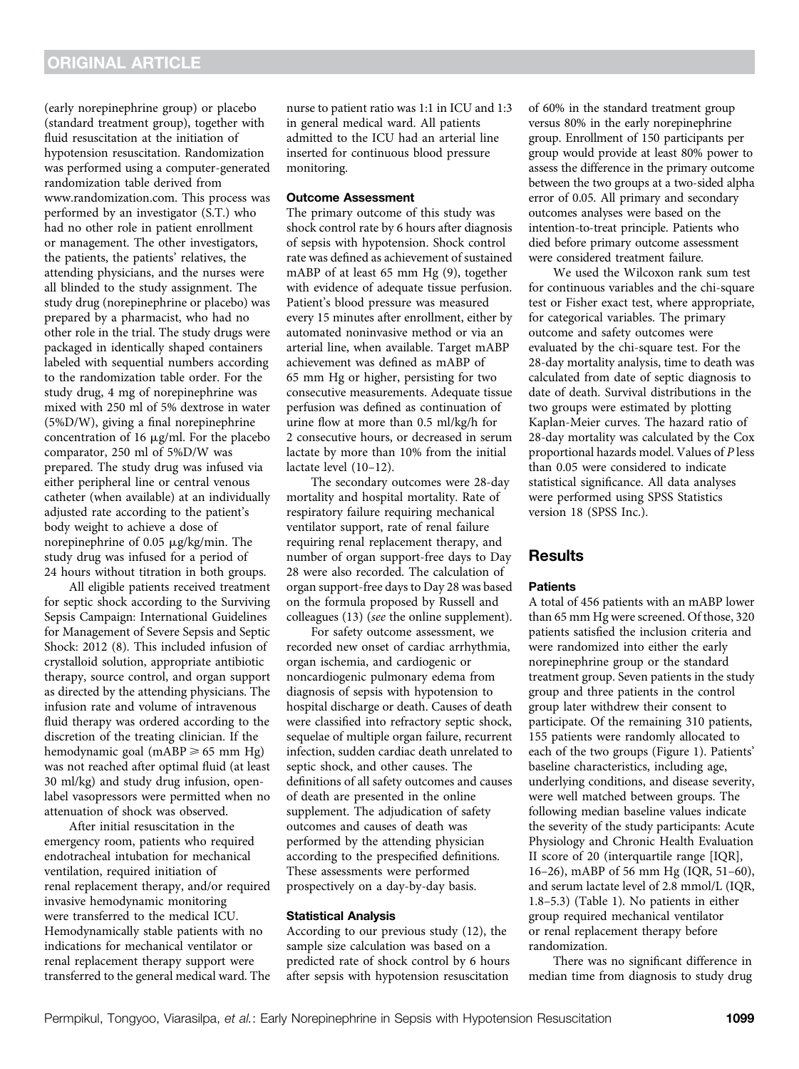(early norepinephrine group) or placebo (standard treatment group), together with fluid resuscitation at the initiation of hypotension resuscitation. Randomization was performed using a computer-generated randomization table derived from [www.randomization.com.](http://www.randomization.com) This process was performed by an investigator (S.T.) who had no other role in patient enrollment or management. The other investigators, the patients, the patients' relatives, the attending physicians, and the nurses were all blinded to the study assignment. The study drug (norepinephrine or placebo) was prepared by a pharmacist, who had no other role in the trial. The study drugs were packaged in identically shaped containers labeled with sequential numbers according to the randomization table order. For the study drug, 4 mg of norepinephrine was mixed with 250 ml of 5% dextrose in water (5%D/W), giving a final norepinephrine concentration of 16  $\mu$ g/ml. For the placebo comparator, 250 ml of 5%D/W was prepared. The study drug was infused via either peripheral line or central venous catheter (when available) at an individually adjusted rate according to the patient's body weight to achieve a dose of norepinephrine of 0.05  $\mu$ g/kg/min. The study drug was infused for a period of 24 hours without titration in both groups.

All eligible patients received treatment for septic shock according to the Surviving Sepsis Campaign: International Guidelines for Management of Severe Sepsis and Septic Shock: 2012 (8). This included infusion of crystalloid solution, appropriate antibiotic therapy, source control, and organ support as directed by the attending physicians. The infusion rate and volume of intravenous fluid therapy was ordered according to the discretion of the treating clinician. If the hemodynamic goal (mABP  $\geq 65$  mm Hg) was not reached after optimal fluid (at least 30 ml/kg) and study drug infusion, openlabel vasopressors were permitted when no attenuation of shock was observed.

After initial resuscitation in the emergency room, patients who required endotracheal intubation for mechanical ventilation, required initiation of renal replacement therapy, and/or required invasive hemodynamic monitoring were transferred to the medical ICU. Hemodynamically stable patients with no indications for mechanical ventilator or renal replacement therapy support were transferred to the general medical ward. The

nurse to patient ratio was 1:1 in ICU and 1:3 in general medical ward. All patients admitted to the ICU had an arterial line inserted for continuous blood pressure monitoring.

#### Outcome Assessment

The primary outcome of this study was shock control rate by 6 hours after diagnosis of sepsis with hypotension. Shock control rate was defined as achievement of sustained mABP of at least 65 mm Hg (9), together with evidence of adequate tissue perfusion. Patient's blood pressure was measured every 15 minutes after enrollment, either by automated noninvasive method or via an arterial line, when available. Target mABP achievement was defined as mABP of 65 mm Hg or higher, persisting for two consecutive measurements. Adequate tissue perfusion was defined as continuation of urine flow at more than 0.5 ml/kg/h for 2 consecutive hours, or decreased in serum lactate by more than 10% from the initial lactate level (10–12).

The secondary outcomes were 28-day mortality and hospital mortality. Rate of respiratory failure requiring mechanical ventilator support, rate of renal failure requiring renal replacement therapy, and number of organ support-free days to Day 28 were also recorded. The calculation of organ support-free days to Day 28 was based on the formula proposed by Russell and colleagues (13) (see the online supplement).

For safety outcome assessment, we recorded new onset of cardiac arrhythmia, organ ischemia, and cardiogenic or noncardiogenic pulmonary edema from diagnosis of sepsis with hypotension to hospital discharge or death. Causes of death were classified into refractory septic shock, sequelae of multiple organ failure, recurrent infection, sudden cardiac death unrelated to septic shock, and other causes. The definitions of all safety outcomes and causes of death are presented in the online supplement. The adjudication of safety outcomes and causes of death was performed by the attending physician according to the prespecified definitions. These assessments were performed prospectively on a day-by-day basis.

#### Statistical Analysis

According to our previous study (12), the sample size calculation was based on a predicted rate of shock control by 6 hours after sepsis with hypotension resuscitation of 60% in the standard treatment group versus 80% in the early norepinephrine group. Enrollment of 150 participants per group would provide at least 80% power to assess the difference in the primary outcome between the two groups at a two-sided alpha error of 0.05. All primary and secondary outcomes analyses were based on the intention-to-treat principle. Patients who died before primary outcome assessment were considered treatment failure.

We used the Wilcoxon rank sum test for continuous variables and the chi-square test or Fisher exact test, where appropriate, for categorical variables. The primary outcome and safety outcomes were evaluated by the chi-square test. For the 28-day mortality analysis, time to death was calculated from date of septic diagnosis to date of death. Survival distributions in the two groups were estimated by plotting Kaplan-Meier curves. The hazard ratio of 28-day mortality was calculated by the Cox proportional hazards model. Values of P less than 0.05 were considered to indicate statistical significance. All data analyses were performed using SPSS Statistics version 18 (SPSS Inc.).

### Results

#### **Patients**

A total of 456 patients with an mABP lower than 65 mm Hg were screened. Of those, 320 patients satisfied the inclusion criteria and were randomized into either the early norepinephrine group or the standard treatment group. Seven patients in the study group and three patients in the control group later withdrew their consent to participate. Of the remaining 310 patients, 155 patients were randomly allocated to each of the two groups (Figure 1). Patients' baseline characteristics, including age, underlying conditions, and disease severity, were well matched between groups. The following median baseline values indicate the severity of the study participants: Acute Physiology and Chronic Health Evaluation II score of 20 (interquartile range [IQR], 16–26), mABP of 56 mm Hg (IQR, 51–60), and serum lactate level of 2.8 mmol/L (IQR, 1.8–5.3) (Table 1). No patients in either group required mechanical ventilator or renal replacement therapy before randomization.

There was no significant difference in median time from diagnosis to study drug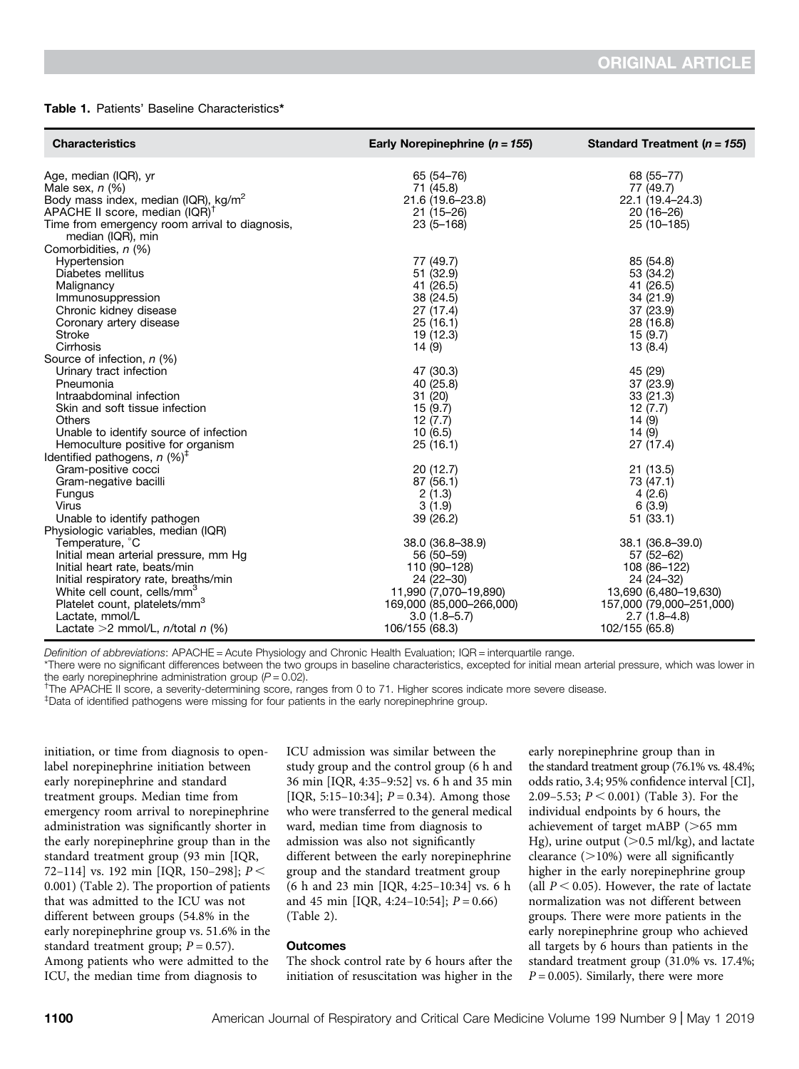#### Table 1. Patients' Baseline Characteristics\*

| <b>Characteristics</b>                                                                                                    | Early Norepinephrine ( $n = 155$ ) | Standard Treatment ( $n = 155$ ) |
|---------------------------------------------------------------------------------------------------------------------------|------------------------------------|----------------------------------|
| Age, median (IQR), yr                                                                                                     | 65 (54-76)                         | 68 (55-77)                       |
| Male sex, $n$ (%)                                                                                                         | 71 (45.8)                          | 77 (49.7)                        |
| Body mass index, median (IQR), kg/m <sup>2</sup>                                                                          | 21.6 (19.6-23.8)                   | 22.1 (19.4-24.3)                 |
| APACHE II score, median (IQR) <sup>†</sup>                                                                                | $21(15-26)$                        | $20(16-26)$                      |
| Time from emergency room arrival to diagnosis,                                                                            | $23(5 - 168)$                      | 25 (10 - 185)                    |
| median (IQR), min<br>Comorbidities, n (%)                                                                                 |                                    |                                  |
| Hypertension                                                                                                              | 77 (49.7)                          | 85 (54.8)                        |
| Diabetes mellitus                                                                                                         | 51 (32.9)                          | 53 (34.2)                        |
| Malignancy                                                                                                                | 41 (26.5)                          | 41 (26.5)                        |
| Immunosuppression                                                                                                         | 38 (24.5)                          | 34 (21.9)                        |
| Chronic kidney disease                                                                                                    | 27 (17.4)                          | 37 (23.9)                        |
| Coronary artery disease                                                                                                   | 25(16.1)                           | 28 (16.8)                        |
| <b>Stroke</b><br>Cirrhosis<br>Source of infection, n (%)                                                                  | 19 (12.3)<br>14(9)                 | 15 (9.7)<br>13(8.4)              |
| Urinary tract infection                                                                                                   | 47 (30.3)                          | 45 (29)                          |
| Pneumonia                                                                                                                 | 40 (25.8)                          | 37 (23.9)                        |
| Intraabdominal infection                                                                                                  | 31 (20)                            | 33 (21.3)                        |
| Skin and soft tissue infection                                                                                            | 15(9.7)                            | 12(7.7)                          |
| <b>Others</b>                                                                                                             | 12(7.7)                            | 14(9)                            |
| Unable to identify source of infection<br>Hemoculture positive for organism<br>Identified pathogens, $n$ (%) <sup>‡</sup> | 10(6.5)<br>25(16.1)                | 14(9)<br>27 (17.4)               |
| Gram-positive cocci                                                                                                       | 20(12.7)                           | 21(13.5)                         |
| Gram-negative bacilli                                                                                                     | 87 (56.1)                          | 73 (47.1)                        |
| Fungus                                                                                                                    | 2(1.3)                             | 4(2.6)                           |
| Virus<br>Unable to identify pathogen<br>Physiologic variables, median (IQR)                                               | 3(1.9)<br>39 (26.2)                | 6(3.9)<br>51(33.1)               |
| Temperature, °C                                                                                                           | 38.0 (36.8-38.9)                   | 38.1 (36.8-39.0)                 |
| Initial mean arterial pressure, mm Hg                                                                                     | 56 (50-59)                         | 57 (52-62)                       |
| Initial heart rate, beats/min                                                                                             | 110 (90-128)                       | 108 (86-122)                     |
| Initial respiratory rate, breaths/min                                                                                     | 24 (22-30)                         | 24 (24-32)                       |
| White cell count, cells/mm <sup>3</sup>                                                                                   | 11,990 (7,070-19,890)              | 13,690 (6,480-19,630)            |
| Platelet count, platelets/mm <sup>3</sup>                                                                                 | 169,000 (85,000-266,000)           | 157,000 (79,000-251,000)         |
| Lactate, mmol/L                                                                                                           | $3.0(1.8 - 5.7)$                   | $2.7(1.8-4.8)$                   |
| Lactate $>2$ mmol/L, <i>n</i> /total <i>n</i> (%)                                                                         | 106/155 (68.3)                     | 102/155 (65.8)                   |

Definition of abbreviations: APACHE = Acute Physiology and Chronic Health Evaluation; IQR = interquartile range.

\*There were no significant differences between the two groups in baseline characteristics, excepted for initial mean arterial pressure, which was lower in the early norepinephrine administration group  $(P = 0.02)$ .

† The APACHE II score, a severity-determining score, ranges from 0 to 71. Higher scores indicate more severe disease.

‡ Data of identified pathogens were missing for four patients in the early norepinephrine group.

initiation, or time from diagnosis to openlabel norepinephrine initiation between early norepinephrine and standard treatment groups. Median time from emergency room arrival to norepinephrine administration was significantly shorter in the early norepinephrine group than in the standard treatment group (93 min [IQR, 72–114] vs. 192 min [IQR, 150–298];  $P \le$ 0.001) (Table 2). The proportion of patients that was admitted to the ICU was not different between groups (54.8% in the early norepinephrine group vs. 51.6% in the standard treatment group;  $P = 0.57$ ). Among patients who were admitted to the ICU, the median time from diagnosis to

ICU admission was similar between the study group and the control group (6 h and 36 min [IQR, 4:35–9:52] vs. 6 h and 35 min [IQR, 5:15–10:34];  $P = 0.34$ ). Among those who were transferred to the general medical ward, median time from diagnosis to admission was also not significantly different between the early norepinephrine group and the standard treatment group (6 h and 23 min [IQR, 4:25–10:34] vs. 6 h and 45 min [IQR, 4:24-10:54];  $P = 0.66$ ) (Table 2).

#### **Outcomes**

The shock control rate by 6 hours after the initiation of resuscitation was higher in the early norepinephrine group than in the standard treatment group (76.1% vs. 48.4%; odds ratio, 3.4; 95% confidence interval [CI], 2.09–5.53;  $P < 0.001$ ) (Table 3). For the individual endpoints by 6 hours, the achievement of target mABP ( $>65$  mm Hg), urine output ( $> 0.5$  ml/kg), and lactate clearance  $(>10%)$  were all significantly higher in the early norepinephrine group (all  $P < 0.05$ ). However, the rate of lactate normalization was not different between groups. There were more patients in the early norepinephrine group who achieved all targets by 6 hours than patients in the standard treatment group (31.0% vs. 17.4%;  $P = 0.005$ ). Similarly, there were more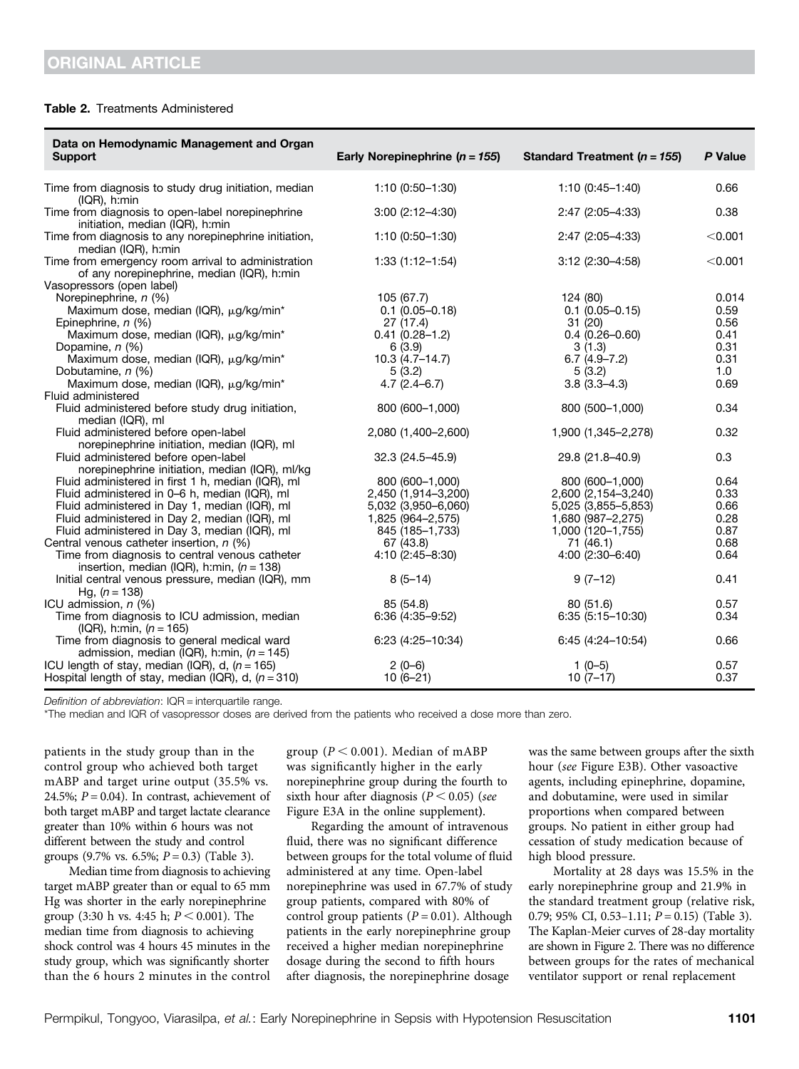#### Table 2. Treatments Administered

| Data on Hemodynamic Management and Organ<br>Support                                                                                                                                                                                                   | Early Norepinephrine ( $n = 155$ )                                                                    | Standard Treatment ( $n = 155$ )                                                                        | P Value                               |
|-------------------------------------------------------------------------------------------------------------------------------------------------------------------------------------------------------------------------------------------------------|-------------------------------------------------------------------------------------------------------|---------------------------------------------------------------------------------------------------------|---------------------------------------|
| Time from diagnosis to study drug initiation, median<br>$(IQR)$ , h:min                                                                                                                                                                               | $1:10(0:50-1:30)$                                                                                     | $1:10(0:45-1:40)$                                                                                       | 0.66                                  |
| Time from diagnosis to open-label norepinephrine<br>initiation, median (IQR), h:min                                                                                                                                                                   | $3:00(2:12-4:30)$                                                                                     | 2:47 (2:05-4:33)                                                                                        | 0.38                                  |
| Time from diagnosis to any norepinephrine initiation,<br>median (IQR), h:min                                                                                                                                                                          | $1:10(0:50-1:30)$                                                                                     | 2:47 (2:05-4:33)                                                                                        | < 0.001                               |
| Time from emergency room arrival to administration<br>of any norepinephrine, median (IQR), h:min<br>Vasopressors (open label)                                                                                                                         | $1:33(1:12-1:54)$                                                                                     | $3:12(2:30-4:58)$                                                                                       | < 0.001                               |
| Norepinephrine, n (%)<br>Maximum dose, median (IQR), µg/kg/min*<br>Epinephrine, n (%)<br>Maximum dose, median (IQR), µg/kg/min*                                                                                                                       | 105 (67.7)<br>$0.1(0.05 - 0.18)$<br>27(17.4)<br>$0.41(0.28 - 1.2)$<br>6(3.9)                          | 124 (80)<br>$0.1(0.05 - 0.15)$<br>31(20)<br>$0.4(0.26 - 0.60)$                                          | 0.014<br>0.59<br>0.56<br>0.41<br>0.31 |
| Dopamine, n (%)<br>Maximum dose, median (IQR), µg/kg/min*<br>Dobutamine, n (%)<br>Maximum dose, median (IQR), µg/kg/min*                                                                                                                              | $10.3(4.7-14.7)$<br>5(3.2)<br>$4.7(2.4 - 6.7)$                                                        | 3(1.3)<br>$6.7(4.9 - 7.2)$<br>5(3.2)<br>$3.8(3.3-4.3)$                                                  | 0.31<br>1.0<br>0.69                   |
| Fluid administered<br>Fluid administered before study drug initiation,<br>median (IQR), ml                                                                                                                                                            | 800 (600-1,000)                                                                                       | 800 (500-1,000)                                                                                         | 0.34                                  |
| Fluid administered before open-label<br>norepinephrine initiation, median (IQR), ml                                                                                                                                                                   | 2,080 (1,400-2,600)                                                                                   | 1,900 (1,345-2,278)                                                                                     | 0.32                                  |
| Fluid administered before open-label<br>norepinephrine initiation, median (IQR), ml/kg                                                                                                                                                                | 32.3 (24.5-45.9)                                                                                      | 29.8 (21.8-40.9)                                                                                        | 0.3                                   |
| Fluid administered in first 1 h, median (IQR), ml<br>Fluid administered in 0–6 h, median (IQR), ml<br>Fluid administered in Day 1, median (IQR), ml<br>Fluid administered in Day 2, median (IQR), ml<br>Fluid administered in Day 3, median (IQR), ml | 800 (600-1,000)<br>2,450 (1,914-3,200)<br>5,032 (3,950-6,060)<br>1,825 (964–2,575)<br>845 (185-1,733) | 800 (600-1,000)<br>2,600 (2,154-3,240)<br>5,025 (3,855-5,853)<br>1,680 (987-2,275)<br>1,000 (120-1,755) | 0.64<br>0.33<br>0.66<br>0.28<br>0.87  |
| Central venous catheter insertion, $n$ (%)<br>Time from diagnosis to central venous catheter<br>insertion, median (IQR), h:min, $(n = 138)$                                                                                                           | 67 (43.8)<br>4:10 (2:45-8:30)                                                                         | 71 (46.1)<br>$4:00(2:30-6:40)$                                                                          | 0.68<br>0.64                          |
| Initial central venous pressure, median (IQR), mm<br>Hg, $(n = 138)$                                                                                                                                                                                  | $8(5-14)$                                                                                             | $9(7-12)$                                                                                               | 0.41                                  |
| ICU admission, $n$ (%)<br>Time from diagnosis to ICU admission, median<br>(IQR), h:min, $(n = 165)$                                                                                                                                                   | 85 (54.8)<br>$6:36(4:35-9:52)$                                                                        | 80(51.6)<br>$6:35(5:15-10:30)$                                                                          | 0.57<br>0.34                          |
| Time from diagnosis to general medical ward<br>admission, median (IQR), h:min, $(n = 145)$                                                                                                                                                            | 6:23 (4:25-10:34)                                                                                     | 6:45 (4:24-10:54)                                                                                       | 0.66                                  |
| ICU length of stay, median (IQR), d, $(n = 165)$<br>Hospital length of stay, median (IQR), d, $(n = 310)$                                                                                                                                             | $2(0-6)$<br>$10(6-21)$                                                                                | $1(0-5)$<br>$10(7-17)$                                                                                  | 0.57<br>0.37                          |

Definition of abbreviation: IQR = interquartile range.

\*The median and IQR of vasopressor doses are derived from the patients who received a dose more than zero.

patients in the study group than in the control group who achieved both target mABP and target urine output (35.5% vs. 24.5%;  $P = 0.04$ ). In contrast, achievement of both target mABP and target lactate clearance greater than 10% within 6 hours was not different between the study and control groups (9.7% vs. 6.5%;  $P = 0.3$ ) (Table 3).

Median time from diagnosis to achieving target mABP greater than or equal to 65 mm Hg was shorter in the early norepinephrine group (3:30 h vs. 4:45 h;  $P \le 0.001$ ). The median time from diagnosis to achieving shock control was 4 hours 45 minutes in the study group, which was significantly shorter than the 6 hours 2 minutes in the control

group ( $P < 0.001$ ). Median of mABP was significantly higher in the early norepinephrine group during the fourth to sixth hour after diagnosis ( $P < 0.05$ ) (see Figure E3A in the online supplement).

Regarding the amount of intravenous fluid, there was no significant difference between groups for the total volume of fluid administered at any time. Open-label norepinephrine was used in 67.7% of study group patients, compared with 80% of control group patients  $(P = 0.01)$ . Although patients in the early norepinephrine group received a higher median norepinephrine dosage during the second to fifth hours after diagnosis, the norepinephrine dosage

was the same between groups after the sixth hour (see Figure E3B). Other vasoactive agents, including epinephrine, dopamine, and dobutamine, were used in similar proportions when compared between groups. No patient in either group had cessation of study medication because of high blood pressure.

Mortality at 28 days was 15.5% in the early norepinephrine group and 21.9% in the standard treatment group (relative risk, 0.79; 95% CI, 0.53-1.11;  $P = 0.15$ ) (Table 3). The Kaplan-Meier curves of 28-day mortality are shown in Figure 2. There was no difference between groups for the rates of mechanical ventilator support or renal replacement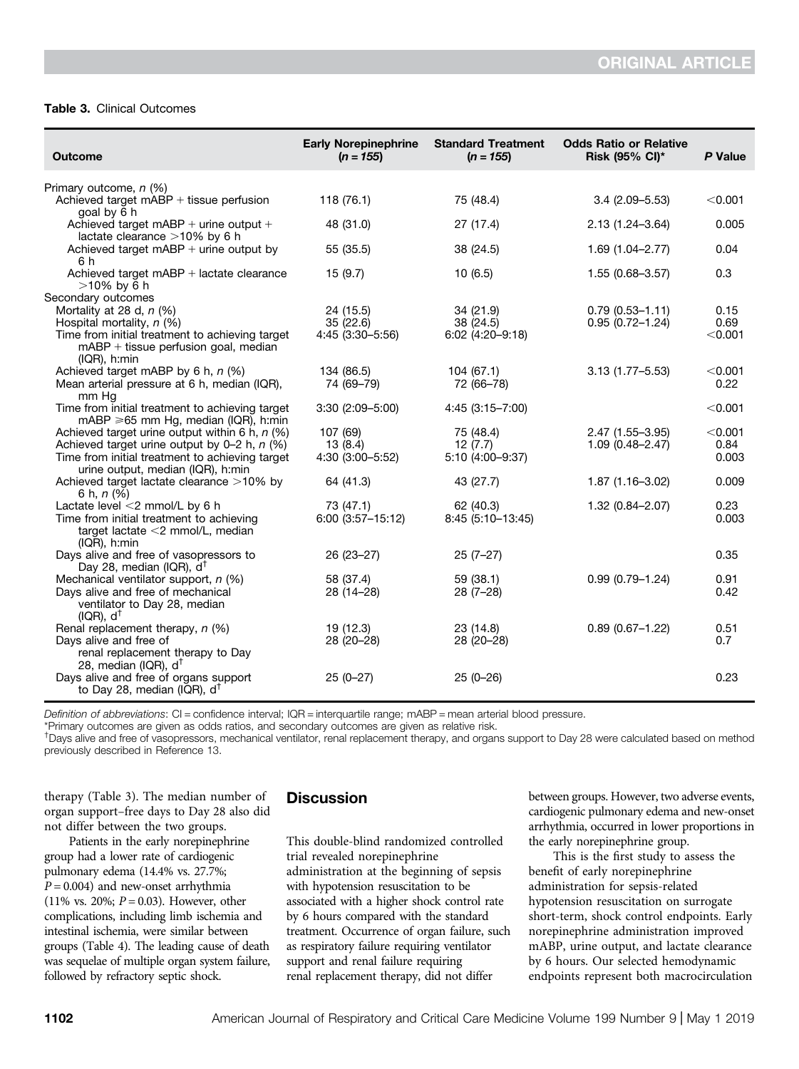#### Table 3. Clinical Outcomes

| <b>Outcome</b>                                                                                                     | <b>Early Norepinephrine</b><br>$(n = 155)$ | <b>Standard Treatment</b><br>$(n = 155)$ | <b>Odds Ratio or Relative</b><br><b>Risk (95% CI)*</b> | P Value |  |
|--------------------------------------------------------------------------------------------------------------------|--------------------------------------------|------------------------------------------|--------------------------------------------------------|---------|--|
| Primary outcome, n (%)                                                                                             |                                            |                                          |                                                        |         |  |
| Achieved target mABP + tissue perfusion<br>goal by 6 h                                                             | 118(76.1)                                  | 75 (48.4)                                | $3.4(2.09 - 5.53)$                                     | < 0.001 |  |
| Achieved target $mABP +$ urine output $+$<br>lactate clearance >10% by 6 h                                         | 48 (31.0)                                  | 27 (17.4)                                | 2.13 (1.24-3.64)                                       | 0.005   |  |
| Achieved target $mABP +$ urine output by<br>6 h                                                                    | 55 (35.5)                                  | 38 (24.5)                                | $1.69(1.04 - 2.77)$                                    | 0.04    |  |
| Achieved target mABP + lactate clearance<br>$>10\%$ by 6 h                                                         | 15(9.7)                                    | 10(6.5)                                  | $1.55(0.68 - 3.57)$                                    | 0.3     |  |
| Secondary outcomes                                                                                                 |                                            |                                          |                                                        |         |  |
| Mortality at 28 d, $n$ (%)                                                                                         | 24 (15.5)                                  | 34 (21.9)                                | $0.79(0.53 - 1.11)$                                    | 0.15    |  |
| Hospital mortality, $n$ (%)                                                                                        | 35(22.6)                                   | 38 (24.5)                                | $0.95(0.72 - 1.24)$                                    | 0.69    |  |
| Time from initial treatment to achieving target<br>$mABP + tissue$ perfusion goal, median<br>(IQR), h:min          | 4:45 (3:30-5:56)                           | 6:02 (4:20-9:18)                         |                                                        | < 0.001 |  |
| Achieved target mABP by 6 h, $n$ (%)                                                                               | 134 (86.5)                                 | 104(67.1)                                | $3.13(1.77 - 5.53)$                                    | < 0.001 |  |
| Mean arterial pressure at 6 h, median (IQR),<br>mm Ha                                                              | 74 (69-79)                                 | 72 (66-78)                               |                                                        | 0.22    |  |
| Time from initial treatment to achieving target<br>mABP $\geq 65$ mm Hg, median (IQR), h:min                       | 3:30 (2:09-5:00)                           | 4:45 (3:15-7:00)                         |                                                        | < 0.001 |  |
| Achieved target urine output within 6 h, $n$ (%)                                                                   | 107 (69)                                   | 75 (48.4)                                | $2.47(1.55 - 3.95)$                                    | < 0.001 |  |
| Achieved target urine output by 0-2 h, $n$ (%)                                                                     | 13(8.4)                                    | 12(7.7)                                  | $1.09(0.48 - 2.47)$                                    | 0.84    |  |
| Time from initial treatment to achieving target<br>urine output, median (IQR), h:min                               | 4:30 (3:00-5:52)                           | 5:10 (4:00-9:37)                         |                                                        | 0.003   |  |
| Achieved target lactate clearance >10% by<br>6 h, $n$ (%)                                                          | 64 (41.3)                                  | 43 (27.7)                                | $1.87(1.16 - 3.02)$                                    | 0.009   |  |
| Lactate level $<$ 2 mmol/L by 6 h                                                                                  | 73 (47.1)                                  | 62 (40.3)                                | $1.32(0.84 - 2.07)$                                    | 0.23    |  |
| Time from initial treatment to achieving<br>target lactate <2 mmol/L, median<br>$(IQR)$ , h:min                    | $6:00(3:57-15:12)$                         | 8:45 (5:10-13:45)                        |                                                        | 0.003   |  |
| Days alive and free of vasopressors to<br>Day 28, median (IQR), $d^{\dagger}$                                      | 26 (23-27)                                 | $25(7-27)$                               |                                                        | 0.35    |  |
| Mechanical ventilator support, $n$ (%)                                                                             | 58 (37.4)                                  | 59(38.1)                                 | $0.99(0.79 - 1.24)$                                    | 0.91    |  |
| Days alive and free of mechanical<br>ventilator to Day 28, median<br>(IQR), d <sup>T</sup>                         | 28 (14-28)                                 | $28(7-28)$                               |                                                        | 0.42    |  |
| Renal replacement therapy, $n$ (%)                                                                                 | 19 (12.3)                                  | 23 (14.8)                                | $0.89(0.67 - 1.22)$                                    | 0.51    |  |
| Days alive and free of<br>renal replacement therapy to Day                                                         | 28 (20-28)                                 | 28 (20-28)                               |                                                        | 0.7     |  |
| 28, median (IQR), $d^{\dagger}$<br>Days alive and free of organs support<br>to Day 28, median (IQR), $d^{\dagger}$ | $25(0-27)$                                 | $25(0-26)$                               |                                                        | 0.23    |  |

Definition of abbreviations: CI = confidence interval; IQR = interquartile range; mABP = mean arterial blood pressure.

\*Primary outcomes are given as odds ratios, and secondary outcomes are given as relative risk.

† Days alive and free of vasopressors, mechanical ventilator, renal replacement therapy, and organs support to Day 28 were calculated based on method previously described in Reference 13.

therapy (Table 3). The median number of organ support–free days to Day 28 also did not differ between the two groups.

Patients in the early norepinephrine group had a lower rate of cardiogenic pulmonary edema (14.4% vs. 27.7%;  $P = 0.004$ ) and new-onset arrhythmia (11% vs. 20%;  $P = 0.03$ ). However, other complications, including limb ischemia and intestinal ischemia, were similar between groups (Table 4). The leading cause of death was sequelae of multiple organ system failure, followed by refractory septic shock.

## **Discussion**

This double-blind randomized controlled trial revealed norepinephrine administration at the beginning of sepsis with hypotension resuscitation to be associated with a higher shock control rate by 6 hours compared with the standard treatment. Occurrence of organ failure, such as respiratory failure requiring ventilator support and renal failure requiring renal replacement therapy, did not differ

between groups. However, two adverse events, cardiogenic pulmonary edema and new-onset arrhythmia, occurred in lower proportions in the early norepinephrine group.

This is the first study to assess the benefit of early norepinephrine administration for sepsis-related hypotension resuscitation on surrogate short-term, shock control endpoints. Early norepinephrine administration improved mABP, urine output, and lactate clearance by 6 hours. Our selected hemodynamic endpoints represent both macrocirculation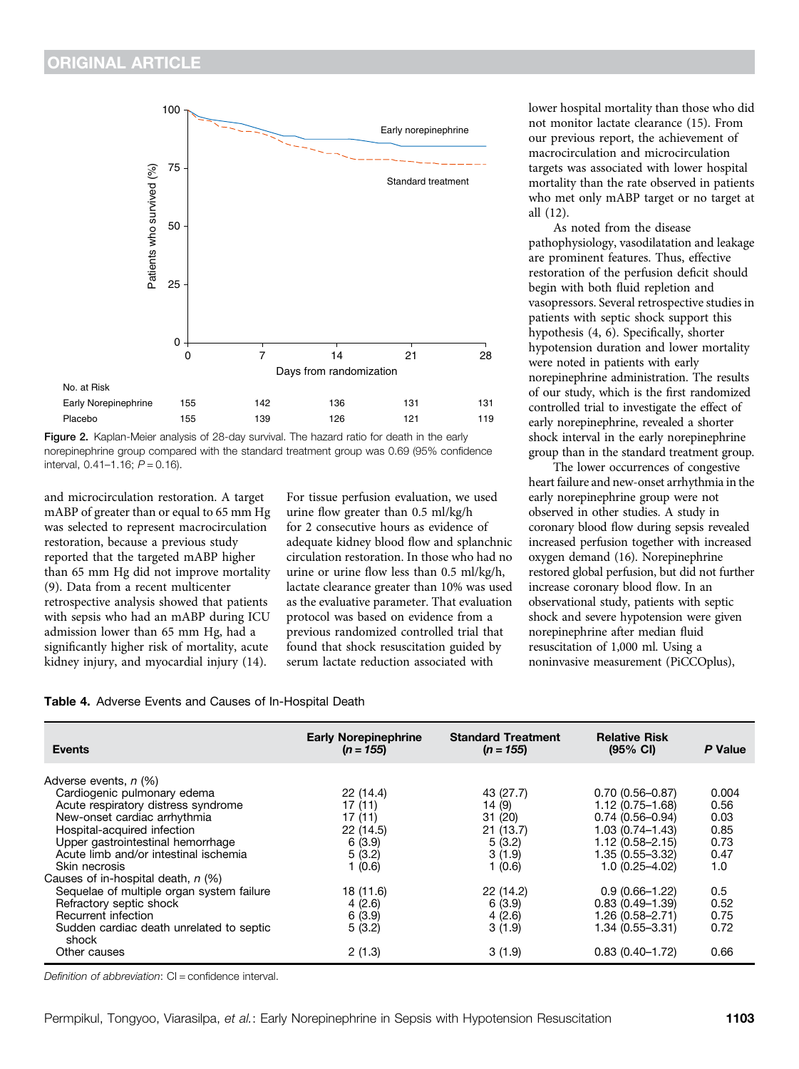

Figure 2. Kaplan-Meier analysis of 28-day survival. The hazard ratio for death in the early norepinephrine group compared with the standard treatment group was 0.69 (95% confidence interval,  $0.41-1.16$ ;  $P = 0.16$ ).

and microcirculation restoration. A target mABP of greater than or equal to 65 mm Hg was selected to represent macrocirculation restoration, because a previous study reported that the targeted mABP higher than 65 mm Hg did not improve mortality (9). Data from a recent multicenter retrospective analysis showed that patients with sepsis who had an mABP during ICU admission lower than 65 mm Hg, had a significantly higher risk of mortality, acute kidney injury, and myocardial injury (14).

Placebo

For tissue perfusion evaluation, we used urine flow greater than 0.5 ml/kg/h for 2 consecutive hours as evidence of adequate kidney blood flow and splanchnic circulation restoration. In those who had no urine or urine flow less than 0.5 ml/kg/h, lactate clearance greater than 10% was used as the evaluative parameter. That evaluation protocol was based on evidence from a previous randomized controlled trial that found that shock resuscitation guided by serum lactate reduction associated with

lower hospital mortality than those who did not monitor lactate clearance (15). From our previous report, the achievement of macrocirculation and microcirculation targets was associated with lower hospital mortality than the rate observed in patients who met only mABP target or no target at all (12).

As noted from the disease pathophysiology, vasodilatation and leakage are prominent features. Thus, effective restoration of the perfusion deficit should begin with both fluid repletion and vasopressors. Several retrospective studies in patients with septic shock support this hypothesis (4, 6). Specifically, shorter hypotension duration and lower mortality were noted in patients with early norepinephrine administration. The results of our study, which is the first randomized controlled trial to investigate the effect of early norepinephrine, revealed a shorter shock interval in the early norepinephrine group than in the standard treatment group.

The lower occurrences of congestive heart failure and new-onset arrhythmia in the early norepinephrine group were not observed in other studies. A study in coronary blood flow during sepsis revealed increased perfusion together with increased oxygen demand (16). Norepinephrine restored global perfusion, but did not further increase coronary blood flow. In an observational study, patients with septic shock and severe hypotension were given norepinephrine after median fluid resuscitation of 1,000 ml. Using a noninvasive measurement (PiCCOplus),

|  |  |  | Table 4. Adverse Events and Causes of In-Hospital Death |  |
|--|--|--|---------------------------------------------------------|--|
|  |  |  |                                                         |  |

| <b>Events</b>                                                                                                                                                                                                                                                                                                                                                                                                                                                       | <b>Early Norepinephrine</b><br>$(n = 155)$                                                                                      | <b>Standard Treatment</b><br>$(n = 155)$                                                                                      | <b>Relative Risk</b><br>$(95% \text{ Cl})$                                                                                                                                                                                                                             | P Value                                                                                     |
|---------------------------------------------------------------------------------------------------------------------------------------------------------------------------------------------------------------------------------------------------------------------------------------------------------------------------------------------------------------------------------------------------------------------------------------------------------------------|---------------------------------------------------------------------------------------------------------------------------------|-------------------------------------------------------------------------------------------------------------------------------|------------------------------------------------------------------------------------------------------------------------------------------------------------------------------------------------------------------------------------------------------------------------|---------------------------------------------------------------------------------------------|
| Adverse events, n (%)<br>Cardiogenic pulmonary edema<br>Acute respiratory distress syndrome<br>New-onset cardiac arrhythmia<br>Hospital-acquired infection<br>Upper gastrointestinal hemorrhage<br>Acute limb and/or intestinal ischemia<br>Skin necrosis<br>Causes of in-hospital death, n (%)<br>Sequelae of multiple organ system failure<br>Refractory septic shock<br>Recurrent infection<br>Sudden cardiac death unrelated to septic<br>shock<br>Other causes | 22 (14.4)<br>17(11)<br>17 (11)<br>22 (14.5)<br>6(3.9)<br>5(3.2)<br>1 (0.6)<br>18 (11.6)<br>4(2.6)<br>6(3.9)<br>5(3.2)<br>2(1.3) | 43 (27.7)<br>14 (9)<br>31 (20)<br>21(13.7)<br>5(3.2)<br>3(1.9)<br>1(0.6)<br>22 (14.2)<br>6(3.9)<br>4(2.6)<br>3(1.9)<br>3(1.9) | $0.70(0.56 - 0.87)$<br>1.12 (0.75-1.68)<br>$0.74(0.56 - 0.94)$<br>$1.03(0.74 - 1.43)$<br>$1.12(0.58 - 2.15)$<br>$1.35(0.55 - 3.32)$<br>$1.0(0.25 - 4.02)$<br>$0.9(0.66 - 1.22)$<br>$0.83(0.49 - 1.39)$<br>1.26 (0.58-2.71)<br>$1.34(0.55 - 3.31)$<br>$0.83(0.40-1.72)$ | 0.004<br>0.56<br>0.03<br>0.85<br>0.73<br>0.47<br>1.0<br>0.5<br>0.52<br>0.75<br>0.72<br>0.66 |

Definition of abbreviation: CI = confidence interval.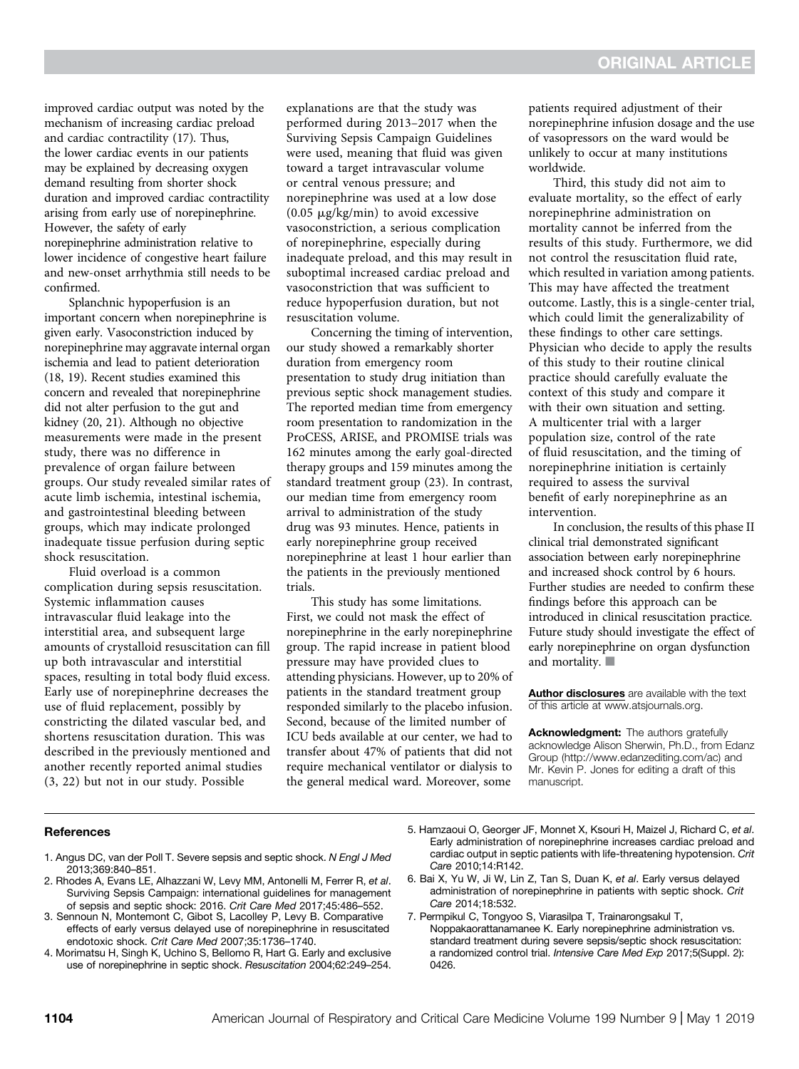improved cardiac output was noted by the mechanism of increasing cardiac preload and cardiac contractility (17). Thus, the lower cardiac events in our patients may be explained by decreasing oxygen demand resulting from shorter shock duration and improved cardiac contractility arising from early use of norepinephrine. However, the safety of early norepinephrine administration relative to lower incidence of congestive heart failure and new-onset arrhythmia still needs to be confirmed.

Splanchnic hypoperfusion is an important concern when norepinephrine is given early. Vasoconstriction induced by norepinephrine may aggravate internal organ ischemia and lead to patient deterioration (18, 19). Recent studies examined this concern and revealed that norepinephrine did not alter perfusion to the gut and kidney (20, 21). Although no objective measurements were made in the present study, there was no difference in prevalence of organ failure between groups. Our study revealed similar rates of acute limb ischemia, intestinal ischemia, and gastrointestinal bleeding between groups, which may indicate prolonged inadequate tissue perfusion during septic shock resuscitation.

Fluid overload is a common complication during sepsis resuscitation. Systemic inflammation causes intravascular fluid leakage into the interstitial area, and subsequent large amounts of crystalloid resuscitation can fill up both intravascular and interstitial spaces, resulting in total body fluid excess. Early use of norepinephrine decreases the use of fluid replacement, possibly by constricting the dilated vascular bed, and shortens resuscitation duration. This was described in the previously mentioned and another recently reported animal studies (3, 22) but not in our study. Possible

explanations are that the study was performed during 2013–2017 when the Surviving Sepsis Campaign Guidelines were used, meaning that fluid was given toward a target intravascular volume or central venous pressure; and norepinephrine was used at a low dose  $(0.05 \mu g/kg/min)$  to avoid excessive vasoconstriction, a serious complication of norepinephrine, especially during inadequate preload, and this may result in suboptimal increased cardiac preload and vasoconstriction that was sufficient to reduce hypoperfusion duration, but not resuscitation volume.

Concerning the timing of intervention, our study showed a remarkably shorter duration from emergency room presentation to study drug initiation than previous septic shock management studies. The reported median time from emergency room presentation to randomization in the ProCESS, ARISE, and PROMISE trials was 162 minutes among the early goal-directed therapy groups and 159 minutes among the standard treatment group (23). In contrast, our median time from emergency room arrival to administration of the study drug was 93 minutes. Hence, patients in early norepinephrine group received norepinephrine at least 1 hour earlier than the patients in the previously mentioned trials.

This study has some limitations. First, we could not mask the effect of norepinephrine in the early norepinephrine group. The rapid increase in patient blood pressure may have provided clues to attending physicians. However, up to 20% of patients in the standard treatment group responded similarly to the placebo infusion. Second, because of the limited number of ICU beds available at our center, we had to transfer about 47% of patients that did not require mechanical ventilator or dialysis to the general medical ward. Moreover, some

patients required adjustment of their norepinephrine infusion dosage and the use of vasopressors on the ward would be unlikely to occur at many institutions worldwide.

Third, this study did not aim to evaluate mortality, so the effect of early norepinephrine administration on mortality cannot be inferred from the results of this study. Furthermore, we did not control the resuscitation fluid rate, which resulted in variation among patients. This may have affected the treatment outcome. Lastly, this is a single-center trial, which could limit the generalizability of these findings to other care settings. Physician who decide to apply the results of this study to their routine clinical practice should carefully evaluate the context of this study and compare it with their own situation and setting. A multicenter trial with a larger population size, control of the rate of fluid resuscitation, and the timing of norepinephrine initiation is certainly required to assess the survival benefit of early norepinephrine as an intervention.

In conclusion, the results of this phase II clinical trial demonstrated significant association between early norepinephrine and increased shock control by 6 hours. Further studies are needed to confirm these findings before this approach can be introduced in clinical resuscitation practice. Future study should investigate the effect of early norepinephrine on organ dysfunction and mortality.  $\blacksquare$ 

[Author disclosures](http://www.atsjournals.org/doi/suppl/10.1164/rccm.201806-1034OC/suppl_file/disclosures.pdf) are available with the text of this article at [www.atsjournals.org.](http://www.atsjournals.org)

Acknowledgment: The authors gratefully acknowledge Alison Sherwin, Ph.D., from Edanz Group [\(http://www.edanzediting.com/ac](http://www.edanzediting.com/ac)) and Mr. Kevin P. Jones for editing a draft of this manuscript.

#### **References**

- 1. Angus DC, van der Poll T. Severe sepsis and septic shock. N Engl J Med 2013;369:840–851.
- 2. Rhodes A, Evans LE, Alhazzani W, Levy MM, Antonelli M, Ferrer R, et al. Surviving Sepsis Campaign: international guidelines for management of sepsis and septic shock: 2016. Crit Care Med 2017;45:486–552.
- 3. Sennoun N, Montemont C, Gibot S, Lacolley P, Levy B. Comparative effects of early versus delayed use of norepinephrine in resuscitated endotoxic shock. Crit Care Med 2007;35:1736–1740.
- 4. Morimatsu H, Singh K, Uchino S, Bellomo R, Hart G. Early and exclusive use of norepinephrine in septic shock. Resuscitation 2004;62:249–254.
- 5. Hamzaoui O, Georger JF, Monnet X, Ksouri H, Maizel J, Richard C, et al. Early administration of norepinephrine increases cardiac preload and cardiac output in septic patients with life-threatening hypotension. Crit Care 2010;14:R142.
- 6. Bai X, Yu W, Ji W, Lin Z, Tan S, Duan K, et al. Early versus delayed administration of norepinephrine in patients with septic shock. Crit Care 2014;18:532.
- 7. Permpikul C, Tongyoo S, Viarasilpa T, Trainarongsakul T, Noppakaorattanamanee K. Early norepinephrine administration vs. standard treatment during severe sepsis/septic shock resuscitation: a randomized control trial. Intensive Care Med Exp 2017;5(Suppl. 2): 0426.